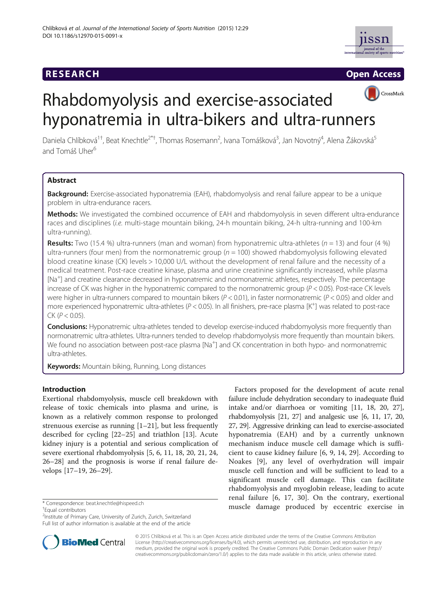# **RESEARCH RESEARCH CONSUMING ACCESS**





# Rhabdomyolysis and exercise-associated hyponatremia in ultra-bikers and ultra-runners

Daniela Chlíbková<sup>1†</sup>, Beat Knechtle<sup>2\*†</sup>, Thomas Rosemann<sup>2</sup>, Ivana Tomášková<sup>3</sup>, Jan Novotný<sup>4</sup>, Alena Žákovská<sup>5</sup> and Tomáš Uher<sup>6</sup>

# Abstract

Background: Exercise-associated hyponatremia (EAH), rhabdomyolysis and renal failure appear to be a unique problem in ultra-endurance racers.

Methods: We investigated the combined occurrence of EAH and rhabdomyolysis in seven different ultra-endurance races and disciplines (i.e. multi-stage mountain biking, 24-h mountain biking, 24-h ultra-running and 100-km ultra-running).

**Results:** Two (15.4 %) ultra-runners (man and woman) from hyponatremic ultra-athletes ( $n = 13$ ) and four (4 %) ultra-runners (four men) from the normonatremic group ( $n = 100$ ) showed rhabdomyolysis following elevated blood creatine kinase (CK) levels > 10,000 U/L without the development of renal failure and the necessity of a medical treatment. Post-race creatine kinase, plasma and urine creatinine significantly increased, while plasma [Na+ ] and creatine clearance decreased in hyponatremic and normonatremic athletes, respectively. The percentage increase of CK was higher in the hyponatremic compared to the normonatremic group ( $P < 0.05$ ). Post-race CK levels were higher in ultra-runners compared to mountain bikers ( $P < 0.01$ ), in faster normonatremic ( $P < 0.05$ ) and older and more experienced hyponatremic ultra-athletes (P < 0.05). In all finishers, pre-race plasma [K+ ] was related to post-race  $CK (P < 0.05)$ .

Conclusions: Hyponatremic ultra-athletes tended to develop exercise-induced rhabdomyolysis more frequently than normonatremic ultra-athletes. Ultra-runners tended to develop rhabdomyolysis more frequently than mountain bikers. We found no association between post-race plasma [Na<sup>+</sup>] and CK concentration in both hypo- and normonatremic ultra-athletes.

Keywords: Mountain biking, Running, Long distances

# Introduction

Exertional rhabdomyolysis, muscle cell breakdown with release of toxic chemicals into plasma and urine, is known as a relatively common response to prolonged strenuous exercise as running  $[1-21]$  $[1-21]$  $[1-21]$  $[1-21]$  $[1-21]$ , but less frequently described for cycling [[22](#page-10-0)–[25](#page-10-0)] and triathlon [[13\]](#page-10-0). Acute kidney injury is a potential and serious complication of severe exertional rhabdomyolysis [\[5](#page-10-0), [6](#page-10-0), [11](#page-10-0), [18](#page-10-0), [20](#page-10-0), [21](#page-10-0), [24](#page-10-0), [26](#page-10-0)–[28](#page-10-0)] and the prognosis is worse if renal failure develops [\[17](#page-10-0)–[19, 26](#page-10-0)–[29\]](#page-10-0).

Equal contributors

<sup>2</sup>Institute of Primary Care, University of Zurich, Zurich, Switzerland Full list of author information is available at the end of the article



Factors proposed for the development of acute renal failure include dehydration secondary to inadequate fluid intake and/or diarrhoea or vomiting [\[11](#page-10-0), [18, 20, 27](#page-10-0)], rhabdomyolysis [\[21, 27\]](#page-10-0) and analgesic use [\[6](#page-10-0), [11](#page-10-0), [17, 20](#page-10-0), [27](#page-10-0), [29\]](#page-10-0). Aggressive drinking can lead to exercise-associated hyponatremia (EAH) and by a currently unknown mechanism induce muscle cell damage which is sufficient to cause kidney failure [\[6](#page-10-0), [9, 14, 29](#page-10-0)]. According to Noakes [\[9](#page-10-0)], any level of overhydration will impair muscle cell function and will be sufficient to lead to a significant muscle cell damage. This can facilitate rhabdomyolysis and myoglobin release, leading to acute renal failure [[6](#page-10-0), [17, 30](#page-10-0)]. On the contrary, exertional \* Correspondence: [beat.knechtle@hispeed.ch](mailto:beat.knechtle@hispeed.ch) **muscle damage produced by eccentric exercise in** 

> © 2015 Chlíbková et al. This is an Open Access article distributed under the terms of the Creative Commons Attribution License (<http://creativecommons.org/licenses/by/4.0>), which permits unrestricted use, distribution, and reproduction in any medium, provided the original work is properly credited. The Creative Commons Public Domain Dedication waiver [\(http://](http://creativecommons.org/publicdomain/zero/1.0/) [creativecommons.org/publicdomain/zero/1.0/\)](http://creativecommons.org/publicdomain/zero/1.0/) applies to the data made available in this article, unless otherwise stated.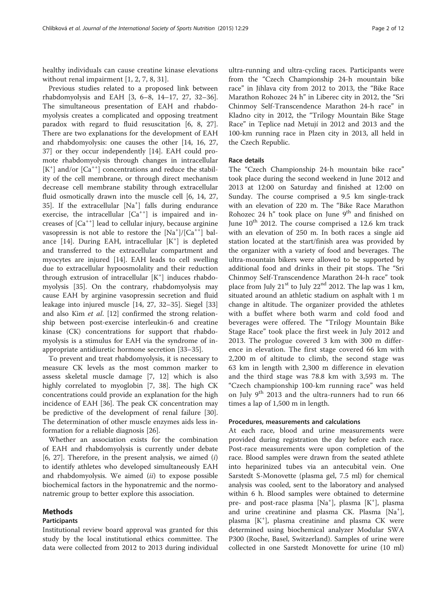healthy individuals can cause creatine kinase elevations without renal impairment [[1, 2, 7, 8, 31](#page-10-0)].

Previous studies related to a proposed link between rhabdomyolysis and EAH [\[3](#page-10-0), [6](#page-10-0)–[8](#page-10-0), [14](#page-10-0)–[17](#page-10-0), [27](#page-10-0), [32](#page-10-0)–[36](#page-11-0)]. The simultaneous presentation of EAH and rhabdomyolysis creates a complicated and opposing treatment paradox with regard to fluid resuscitation [[6, 8](#page-10-0), [27](#page-10-0)]. There are two explanations for the development of EAH and rhabdomyolysis: one causes the other [\[14, 16, 27](#page-10-0), [37\]](#page-11-0) or they occur independently [[14\]](#page-10-0). EAH could promote rhabdomyolysis through changes in intracellular [K<sup>+</sup>] and/or [Ca<sup>++</sup>] concentrations and reduce the stability of the cell membrane, or through direct mechanism decrease cell membrane stability through extracellular fluid osmotically drawn into the muscle cell [\[6](#page-10-0), [14](#page-10-0), [27](#page-10-0), [35\]](#page-11-0). If the extracellular [Na<sup>+</sup>] falls during endurance exercise, the intracellular  $[Ca^{++}]$  is impaired and increases of  $[Ca^{++}]$  lead to cellular injury, because arginine vasopressin is not able to restore the  $[Na^+]/[Ca^{++}]$  bal-ance [[14\]](#page-10-0). During EAH, intracellular [K<sup>+</sup>] is depleted and transferred to the extracellular compartment and myocytes are injured [\[14](#page-10-0)]. EAH leads to cell swelling due to extracellular hypoosmolality and their reduction through extrusion of intracellular [K<sup>+</sup>] induces rhabdomyolysis [[35\]](#page-11-0). On the contrary, rhabdomyolysis may cause EAH by arginine vasopressin secretion and fluid leakage into injured muscle [[14, 27, 32](#page-10-0)–[35](#page-11-0)]. Siegel [[33](#page-10-0)] and also Kim et al. [[12\]](#page-10-0) confirmed the strong relationship between post-exercise interleukin-6 and creatine kinase (CK) concentrations for support that rhabdomyolysis is a stimulus for EAH via the syndrome of inappropriate antidiuretic hormone secretion [[33](#page-10-0)–[35](#page-11-0)].

To prevent and treat rhabdomyolysis, it is necessary to measure CK levels as the most common marker to assess skeletal muscle damage [[7, 12](#page-10-0)] which is also highly correlated to myoglobin [\[7](#page-10-0), [38](#page-11-0)]. The high CK concentrations could provide an explanation for the high incidence of EAH [[36\]](#page-11-0). The peak CK concentration may be predictive of the development of renal failure [\[30](#page-10-0)]. The determination of other muscle enzymes aids less information for a reliable diagnosis [\[26](#page-10-0)].

Whether an association exists for the combination of EAH and rhabdomyolysis is currently under debate  $[6, 27]$  $[6, 27]$ . Therefore, in the present analysis, we aimed  $(i)$ to identify athletes who developed simultaneously EAH and rhabdomyolysis. We aimed  $(ii)$  to expose possible biochemical factors in the hyponatremic and the normonatremic group to better explore this association.

# Methods

#### Participants

Institutional review board approval was granted for this study by the local institutional ethics committee. The data were collected from 2012 to 2013 during individual

ultra-running and ultra-cycling races. Participants were from the "Czech Championship 24-h mountain bike race" in Jihlava city from 2012 to 2013, the "Bike Race Marathon Rohozec 24 h" in Liberec city in 2012, the "Sri Chinmoy Self-Transcendence Marathon 24-h race" in Kladno city in 2012, the "Trilogy Mountain Bike Stage Race" in Teplice nad Metují in 2012 and 2013 and the 100-km running race in Plzen city in 2013, all held in the Czech Republic.

#### Race details

The "Czech Championship 24-h mountain bike race" took place during the second weekend in June 2012 and 2013 at 12:00 on Saturday and finished at 12:00 on Sunday. The course comprised a 9.5 km single-track with an elevation of 220 m. The "Bike Race Marathon Rohozec 24 h" took place on June  $9<sup>th</sup>$  and finished on June  $10^{th}$  2012. The course comprised a 12.6 km track with an elevation of 250 m. In both races a single aid station located at the start/finish area was provided by the organizer with a variety of food and beverages. The ultra-mountain bikers were allowed to be supported by additional food and drinks in their pit stops. The "Sri Chinmoy Self-Transcendence Marathon 24-h race" took place from July  $21^{st}$  to July  $22^{nd}$  2012. The lap was 1 km, situated around an athletic stadium on asphalt with 1 m change in altitude. The organizer provided the athletes with a buffet where both warm and cold food and beverages were offered. The "Trilogy Mountain Bike Stage Race" took place the first week in July 2012 and 2013. The prologue covered 3 km with 300 m difference in elevation. The first stage covered 66 km with 2,200 m of altitude to climb, the second stage was 63 km in length with 2,300 m difference in elevation and the third stage was 78.8 km with 3,593 m. The "Czech championship 100-km running race" was held on July  $9^{th}$  2013 and the ultra-runners had to run 66 times a lap of 1,500 m in length.

#### Procedures, measurements and calculations

At each race, blood and urine measurements were provided during registration the day before each race. Post-race measurements were upon completion of the race. Blood samples were drawn from the seated athlete into heparinized tubes via an antecubital vein. One Sarstedt S-Monovette (plasma gel, 7.5 ml) for chemical analysis was cooled, sent to the laboratory and analysed within 6 h. Blood samples were obtained to determine pre- and post-race plasma [Na<sup>+</sup>], plasma [K<sup>+</sup>], plasma and urine creatinine and plasma CK. Plasma [Na<sup>+</sup>], plasma [K<sup>+</sup> ], plasma creatinine and plasma CK were determined using biochemical analyzer Modular SWA P300 (Roche, Basel, Switzerland). Samples of urine were collected in one Sarstedt Monovette for urine (10 ml)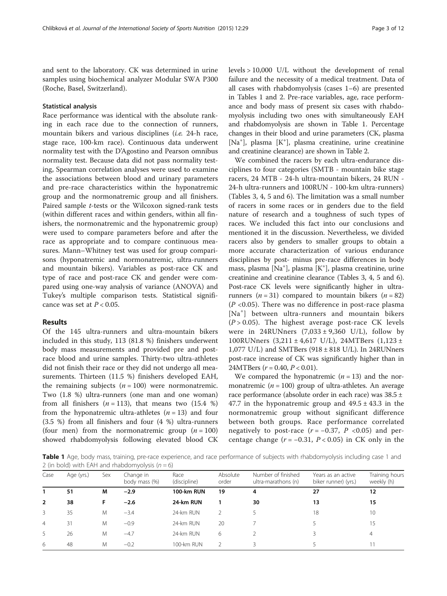and sent to the laboratory. CK was determined in urine samples using biochemical analyzer Modular SWA P300 (Roche, Basel, Switzerland).

#### Statistical analysis

Race performance was identical with the absolute ranking in each race due to the connection of runners, mountain bikers and various disciplines (i.e. 24-h race, stage race, 100-km race). Continuous data underwent normality test with the D'Agostino and Pearson omnibus normality test. Because data did not pass normality testing, Spearman correlation analyses were used to examine the associations between blood and urinary parameters and pre-race characteristics within the hyponatremic group and the normonatremic group and all finishers. Paired sample t-tests or the Wilcoxon signed-rank tests (within different races and within genders, within all finishers, the normonatremic and the hyponatremic group) were used to compare parameters before and after the race as appropriate and to compare continuous measures. Mann–Whitney test was used for group comparisons (hyponatremic and normonatremic, ultra-runners and mountain bikers). Variables as post-race CK and type of race and post-race CK and gender were compared using one-way analysis of variance (ANOVA) and Tukey's multiple comparison tests. Statistical significance was set at  $P < 0.05$ .

#### Results

Of the 145 ultra-runners and ultra-mountain bikers included in this study, 113 (81.8 %) finishers underwent body mass measurements and provided pre and postrace blood and urine samples. Thirty-two ultra-athletes did not finish their race or they did not undergo all measurements. Thirteen (11.5 %) finishers developed EAH, the remaining subjects  $(n = 100)$  were normonatremic. Two (1.8 %) ultra-runners (one man and one woman) from all finishers  $(n = 113)$ , that means two  $(15.4 %)$ from the hyponatremic ultra-athletes  $(n = 13)$  and four (3.5 %) from all finishers and four (4 %) ultra-runners (four men) from the normonatremic group  $(n = 100)$ showed rhabdomyolysis following elevated blood CK levels > 10,000 U/L without the development of renal failure and the necessity of a medical treatment. Data of all cases with rhabdomyolysis (cases 1–6) are presented in Tables 1 and [2.](#page-3-0) Pre-race variables, age, race performance and body mass of present six cases with rhabdomyolysis including two ones with simultaneously EAH and rhabdomyolysis are shown in Table 1. Percentage changes in their blood and urine parameters (CK, plasma [Na<sup>+</sup>], plasma [K<sup>+</sup>], plasma creatinine, urine creatinine and creatinine clearance) are shown in Table [2](#page-3-0).

We combined the racers by each ultra-endurance disciplines to four categories (SMTB - mountain bike stage racers, 24 MTB - 24-h ultra-mountain bikers, 24 RUN - 24-h ultra-runners and 100RUN - 100-km ultra-runners) (Tables [3,](#page-3-0) [4, 5](#page-4-0) and [6](#page-5-0)). The limitation was a small number of racers in some races or in genders due to the field nature of research and a toughness of such types of races. We included this fact into our conclusions and mentioned it in the discussion. Nevertheless, we divided racers also by genders to smaller groups to obtain a more accurate characterization of various endurance disciplines by post- minus pre-race differences in body mass, plasma [Na+ ], plasma [K+ ], plasma creatinine, urine creatinine and creatinine clearance (Tables [3](#page-3-0), [4, 5](#page-4-0) and [6](#page-5-0)). Post-race CK levels were significantly higher in ultrarunners ( $n = 31$ ) compared to mountain bikers ( $n = 82$ )  $(P \le 0.05)$ . There was no difference in post-race plasma [Na<sup>+</sup> ] between ultra-runners and mountain bikers  $(P > 0.05)$ . The highest average post-race CK levels were in 24RUNners  $(7,033 \pm 9,360 \text{ U/L})$ , follow by 100RUNners (3,211 ± 4,617 U/L), 24MTBers (1,123 ± 1,077 U/L) and SMTBers (918 ± 818 U/L). In 24RUNners post-race increase of CK was significantly higher than in 24MTBers ( $r = 0.40$ ,  $P < 0.01$ ).

We compared the hyponatremic  $(n = 13)$  and the normonatremic ( $n = 100$ ) group of ultra-athletes. An average race performance (absolute order in each race) was 38.5 ± 47.7 in the hyponatremic group and  $49.5 \pm 43.3$  in the normonatremic group without significant difference between both groups. Race performance correlated negatively to post-race  $(r = -0.37, P < 0.05)$  and percentage change  $(r = -0.31, P < 0.05)$  in CK only in the

Table 1 Age, body mass, training, pre-race experience, and race performance of subjects with rhabdomyolysis including case 1 and 2 (in bold) with EAH and rhabdomyolysis  $(n = 6)$ 

| Case           | Age (yrs.) | Sex | Change in<br>body mass (%) | Race<br>(discipline) | Absolute<br>order | Number of finished<br>ultra-marathons (n) | Years as an active<br>biker runner) (yrs.) | Training hours<br>weekly (h) |
|----------------|------------|-----|----------------------------|----------------------|-------------------|-------------------------------------------|--------------------------------------------|------------------------------|
| 1              | 51         | М   | $-2.9$                     | 100-km RUN           | 19                | 4                                         | 27                                         | 12                           |
| $\overline{2}$ | 38         | F   | $-2.6$                     | 24-km RUN            |                   | 30                                        | 13                                         | 15                           |
| 3              | 35         | M   | $-3.4$                     | 24-km RUN            |                   |                                           | 18                                         | 10                           |
| $\overline{4}$ | 31         | M   | $-0.9$                     | 24-km RUN            | 20                |                                           |                                            | 15                           |
| 5              | 26         | M   | $-4.7$                     | 24-km RUN            | 6                 |                                           |                                            | 4                            |
| 6              | 48         | M   | $-0.2$                     | 100-km RUN           |                   |                                           |                                            |                              |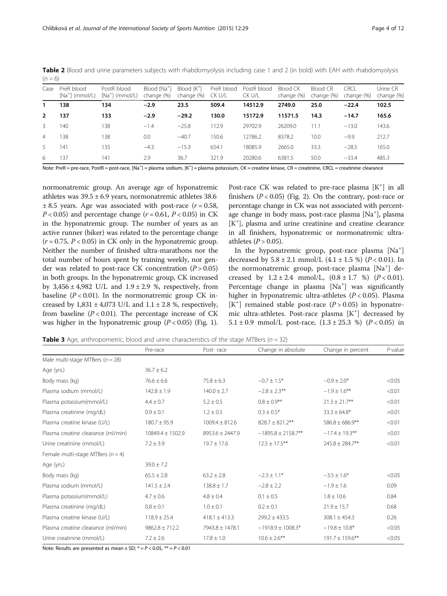| Case           | PreR blood<br>$[Na^+]$ (mmol/L) | PostR blood<br>$[Na^+]$ (mmol/L) | Blood [Na <sup>+</sup> ]<br>change (%) | Blood [K <sup>+</sup> ]<br>change (%) | PreR blood<br>CK U/L | PostR blood<br>CK U/L | <b>Blood CK</b><br>change (%) | <b>Blood CR</b><br>change (%) | CRCL<br>change (%) | Urine CR<br>change (%) |
|----------------|---------------------------------|----------------------------------|----------------------------------------|---------------------------------------|----------------------|-----------------------|-------------------------------|-------------------------------|--------------------|------------------------|
| 1              | 138                             | 134                              | $-2.9$                                 | 23.5                                  | 509.4                | 14512.9               | 2749.0                        | 25.0                          | $-22.4$            | 102.5                  |
| $\overline{2}$ | 137                             | 133                              | $-2.9$                                 | $-29.2$                               | 130.0                | 15172.9               | 11571.5                       | 14.3                          | $-14.7$            | 165.6                  |
| 3              | 140                             | 138                              | $-1.4$                                 | $-25.8$                               | 112.9                | 29702.9               | 26209.0                       | 11.1                          | $-13.0$            | 143.6                  |
| $\overline{4}$ | 138                             | 138                              | 0.0                                    | $-40.7$                               | 150.6                | 12786.2               | 8378.2                        | 10.0                          | $-9.9$             | 212.7                  |
| 5              | 141                             | 135                              | $-4.3$                                 | $-15.3$                               | 654.1                | 18085.9               | 2665.0                        | 33.3                          | $-28.5$            | 165.0                  |
| 6              | 137                             | 141                              | 2.9                                    | 36.7                                  | 321.9                | 20280.6               | 6381.5                        | 50.0                          | $-33.4$            | 485.3                  |

<span id="page-3-0"></span>Table 2 Blood and urine parameters subjects with rhabdomyolysis including case 1 and 2 (in bold) with EAH with rhabdomyolysis  $(n = 6)$ 

Note: PreR = pre-race, PostR = post-race, [Na<sup>+</sup>] = plasma sodium, [K<sup>+</sup>] = plasma potassium, CK = creatinae, kinase, CR = creatinine, CRCL = creatinine clearance

normonatremic group. An average age of hyponatremic athletes was  $39.5 \pm 6.9$  years, normonatremic athletes 38.6  $\pm$  8.5 years. Age was associated with post-race ( $r = 0.58$ ,  $P < 0.05$ ) and percentage change ( $r = 0.61$ ,  $P < 0.05$ ) in CK in the hyponatremic group. The number of years as an active runner (biker) was related to the percentage change  $(r = 0.75, P < 0.05)$  in CK only in the hyponatremic group. Neither the number of finished ultra-marathons nor the total number of hours spent by training weekly, nor gender was related to post-race CK concentration  $(P > 0.05)$ in both groups. In the hyponatremic group, CK increased by  $3,456 \pm 4,982$  U/L and  $1.9 \pm 2.9$  %, respectively, from baseline ( $P < 0.01$ ). In the normonatremic group CK increased by  $1,831 \pm 4,073$  U/L and  $1.1 \pm 2.8$  %, respectively, from baseline  $(P < 0.01)$ . The percentage increase of CK was higher in the hyponatremic group  $(P < 0.05)$  (Fig. [1](#page-5-0)).

Post-race CK was related to pre-race plasma [K<sup>+</sup>] in all finishers  $(P < 0.05)$  (Fig. [2](#page-5-0)). On the contrary, post-race or percentage change in CK was not associated with percentage change in body mass, post-race plasma [Na<sup>+</sup>], plasma [K+ ], plasma and urine creatinine and creatine clearance in all finishers, hyponatremic or normonatremic ultraathletes  $(P > 0.05)$ .

In the hyponatremic group, post-race plasma [Na<sup>+</sup>] decreased by  $5.8 \pm 2.1$  mmol/L  $(4.1 \pm 1.5 \%)$   $(P < 0.01)$ . In the normonatremic group, post-race plasma [Na<sup>+</sup>] decreased by  $1.2 \pm 2.4 \text{ mmol/L}$ ,  $(0.8 \pm 1.7 \text{ %})$   $(P < 0.01)$ . Percentage change in plasma [Na<sup>+</sup>] was significantly higher in hyponatremic ultra-athletes  $(P < 0.05)$ . Plasma [K<sup>+</sup>] remained stable post-race ( $P > 0.05$ ) in hyponatremic ultra-athletes. Post-race plasma [K<sup>+</sup>] decreased by 5.1 ± 0.9 mmol/L post-race,  $(1.3 \pm 25.3 \%)$   $(P < 0.05)$  in

**Table 3** Age, anthropometric, blood and urine characteristics of the stage MTBers ( $n = 32$ )

|                                       | Pre-race             | Post-race           | Change in absolute      | Change in percent    | $P$ -value |
|---------------------------------------|----------------------|---------------------|-------------------------|----------------------|------------|
| Male multi-stage MTBers ( $n = 28$ )  |                      |                     |                         |                      |            |
| Age (yrs.)                            | $36.7 \pm 6.2$       |                     |                         |                      |            |
| Body mass (kg)                        | $76.6 \pm 6.6$       | $75.8 \pm 6.3$      | $-0.7 \pm 1.5*$         | $-0.9 \pm 2.0*$      | < 0.05     |
| Plasma sodium (mmol/L)                | $142.8 \pm 1.9$      | $140.0 \pm 2.7$     | $-2.8 \pm 2.3$ **       | $-1.9 \pm 1.6$ **    | < 0.01     |
| Plasma potassium(mmol/L)              | $4.4 \pm 0.7$        | $5.2 \pm 0.5$       | $0.8 \pm 0.9***$        | $21.3 \pm 21.7$ **   | < 0.01     |
| Plasma creatinine (mg/dL)             | $0.9 \pm 0.1$        | $1.2 \pm 0.5$       | $0.3 \pm 0.5*$          | $33.3 \pm 64.8^*$    | $=0.01$    |
| Plasma creatine kinase (U/L)          | $180.7 \pm 95.9$     | $1009.4 \pm 812.6$  | $828.7 \pm 821.2$ **    | $586.8 \pm 686.9$ ** | < 0.01     |
| Plasma creatine clearance (ml/min)    | $10849.4 \pm 1502.9$ | $8953.6 \pm 2447.9$ | $-1895.8 \pm 2158.7$ ** | $-17.4 \pm 19.3$ **  | < 0.01     |
| Urine creatinine (mmol/L)             | $7.2 \pm 3.9$        | $19.7 \pm 17.6$     | $12.5 \pm 17.5$ **      | $245.8 \pm 284.7$ ** | < 0.01     |
| Female multi-stage MTBers ( $n = 4$ ) |                      |                     |                         |                      |            |
| Age (yrs.)                            | $39.0 \pm 7.2$       |                     |                         |                      |            |
| Body mass (kg)                        | $65.5 \pm 2.8$       | $63.2 \pm 2.8$      | $-2.3 \pm 1.1*$         | $-3.5 \pm 1.6*$      | < 0.05     |
| Plasma sodium (mmol/L)                | $141.5 \pm 2.4$      | $138.8 \pm 1.7$     | $-2.8 \pm 2.2$          | $-1.9 \pm 1.6$       | 0.09       |
| Plasma potassium(mmol/L)              | $4.7 \pm 0.6$        | $4.8 \pm 0.4$       | $0.1 \pm 0.5$           | $1.8 \pm 10.6$       | 0.84       |
| Plasma creatinine (mg/dL)             | $0.8 \pm 0.1$        | $1.0 \pm 0.1$       | $0.2 \pm 0.1$           | $21.9 \pm 15.7$      | 0.68       |
| Plasma creatine kinase (U/L)          | $118.9 \pm 25.4$     | $418.1 \pm 413.3$   | $299.2 \pm 433.5$       | $308.1 \pm 454.3$    | 0.26       |
| Plasma creatine clearance (ml/min)    | $9862.8 \pm 712.2$   | 7943.8 ± 1478.1     | $-1918.9 \pm 1008.3*$   | $-19.8 \pm 10.8*$    | < 0.05     |
| Urine creatinine (mmol/L)             | $7.2 \pm 2.6$        | $17.8 \pm 1.0$      | $10.6 \pm 2.6$ **       | $191.7 \pm 159.6$ ** | < 0.05     |

Note: Results are presented as mean  $\pm$  SD;  $* = P < 0.05$ ,  $** = P < 0.01$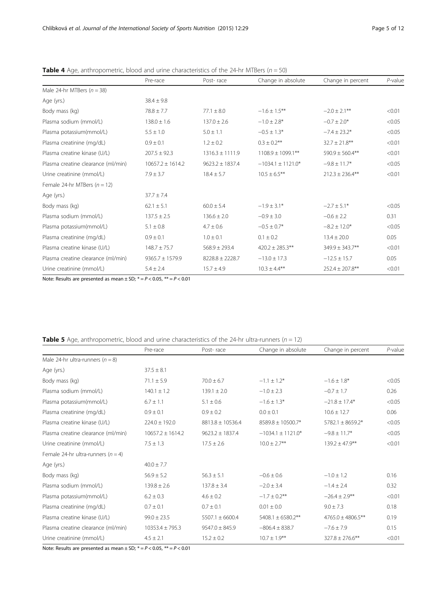|                                    | Pre-race             | Post-race           | Change in absolute    | Change in percent    | $P$ -value |
|------------------------------------|----------------------|---------------------|-----------------------|----------------------|------------|
| Male 24-hr MTBers ( $n = 38$ )     |                      |                     |                       |                      |            |
| Age (yrs.)                         | $38.4 \pm 9.8$       |                     |                       |                      |            |
| Body mass (kg)                     | $78.8 \pm 7.7$       | $77.1 \pm 8.0$      | $-1.6 \pm 1.5***$     | $-2.0 \pm 2.1$ **    | < 0.01     |
| Plasma sodium (mmol/L)             | $138.0 \pm 1.6$      | $137.0 \pm 2.6$     | $-1.0 \pm 2.8$ *      | $-0.7 \pm 2.0*$      | < 0.05     |
| Plasma potassium(mmol/L)           | $5.5 \pm 1.0$        | $5.0 \pm 1.1$       | $-0.5 \pm 1.3*$       | $-7.4 \pm 23.2*$     | < 0.05     |
| Plasma creatinine (mg/dL)          | $0.9 \pm 0.1$        | $1.2 \pm 0.2$       | $0.3 \pm 0.2$ **      | $32.7 \pm 21.8***$   | < 0.01     |
| Plasma creatine kinase (U/L)       | $207.5 \pm 92.3$     | $1316.3 \pm 1111.9$ | 1108.9 ± 1099.1**     | $590.9 \pm 560.4**$  | < 0.01     |
| Plasma creatine clearance (ml/min) | $10657.2 \pm 1614.2$ | $9623.2 \pm 1837.4$ | $-1034.1 \pm 1121.0*$ | $-9.8 \pm 11.7*$     | < 0.05     |
| Urine creatinine (mmol/L)          | $7.9 \pm 3.7$        | $18.4 \pm 5.7$      | $10.5 \pm 6.5$ **     | $212.3 \pm 236.4$ ** | < 0.01     |
| Female 24-hr MTBers ( $n = 12$ )   |                      |                     |                       |                      |            |
| Age (yrs.)                         | $37.7 \pm 7.4$       |                     |                       |                      |            |
| Body mass (kg)                     | $62.1 \pm 5.1$       | $60.0 \pm 5.4$      | $-1.9 \pm 3.1*$       | $-2.7 \pm 5.1*$      | < 0.05     |
| Plasma sodium (mmol/L)             | $137.5 \pm 2.5$      | $136.6 \pm 2.0$     | $-0.9 \pm 3.0$        | $-0.6 \pm 2.2$       | 0.31       |
| Plasma potassium(mmol/L)           | $5.1 \pm 0.8$        | $4.7 \pm 0.6$       | $-0.5 \pm 0.7$ *      | $-8.2 \pm 12.0*$     | < 0.05     |
| Plasma creatinine (mg/dL)          | $0.9 \pm 0.1$        | $1.0 \pm 0.1$       | $0.1 \pm 0.2$         | $13.4 \pm 20.0$      | 0.05       |
| Plasma creatine kinase (U/L)       | $148.7 \pm 75.7$     | $568.9 \pm 293.4$   | $420.2 \pm 285.3$ **  | $349.9 \pm 343.7***$ | < 0.01     |
| Plasma creatine clearance (ml/min) | $9365.7 \pm 1579.9$  | $8228.8 \pm 2228.7$ | $-13.0 \pm 17.3$      | $-12.5 \pm 15.7$     | 0.05       |
| Urine creatinine (mmol/L)          | $5.4 \pm 2.4$        | $15.7 \pm 4.9$      | $10.3 \pm 4.4***$     | $252.4 \pm 207.8***$ | < 0.01     |

<span id="page-4-0"></span>**Table 4** Age, anthropometric, blood and urine characteristics of the 24-hr MTBers ( $n = 50$ )

Note: Results are presented as mean  $\pm$  SD;  $* = P < 0.05$ ,  $** = P < 0.01$ 

| <b>Table 5</b> Age, anthropometric, blood and urine characteristics of the 24-hr ultra-runners ( $n = 12$ ) |  |
|-------------------------------------------------------------------------------------------------------------|--|
|-------------------------------------------------------------------------------------------------------------|--|

|                                        | Pre-race             | Post-race            | Change in absolute     | Change in percent      | $P$ -value |
|----------------------------------------|----------------------|----------------------|------------------------|------------------------|------------|
| Male 24-hr ultra-runners ( $n = 8$ )   |                      |                      |                        |                        |            |
| Age (yrs.)                             | $37.5 \pm 8.1$       |                      |                        |                        |            |
| Body mass (kg)                         | $71.1 \pm 5.9$       | $70.0 \pm 6.7$       | $-1.1 \pm 1.2$ *       | $-1.6 \pm 1.8$ *       | < 0.05     |
| Plasma sodium (mmol/L)                 | $140.1 \pm 1.2$      | $139.1 \pm 2.0$      | $-1.0 \pm 2.3$         | $-0.7 \pm 1.7$         | 0.26       |
| Plasma potassium(mmol/L)               | $6.7 \pm 1.1$        | $5.1 \pm 0.6$        | $-1.6 \pm 1.3*$        | $-21.8 \pm 17.4*$      | < 0.05     |
| Plasma creatinine (mg/dL)              | $0.9 \pm 0.1$        | $0.9 \pm 0.2$        | $0.0 \pm 0.1$          | $10.6 \pm 12.7$        | 0.06       |
| Plasma creatine kinase (U/L)           | $224.0 \pm 192.0$    | $8813.8 \pm 10536.4$ | 8589.8 ± 10500.7*      | $5782.1 \pm 8659.2*$   | < 0.05     |
| Plasma creatine clearance (ml/min)     | $10657.2 \pm 1614.2$ | $9623.2 \pm 1837.4$  | $-1034.1 \pm 1121.0*$  | $-9.8 \pm 11.7*$       | < 0.05     |
| Urine creatinine (mmol/L)              | $7.5 \pm 1.3$        | $17.5 \pm 2.6$       | $10.0 \pm 2.7***$      | $139.2 \pm 47.9***$    | < 0.01     |
| Female 24-hr ultra-runners ( $n = 4$ ) |                      |                      |                        |                        |            |
| Age (yrs.)                             | $40.0 \pm 7.7$       |                      |                        |                        |            |
| Body mass (kg)                         | $56.9 \pm 5.2$       | $56.3 \pm 5.1$       | $-0.6 \pm 0.6$         | $-1.0 \pm 1.2$         | 0.16       |
| Plasma sodium (mmol/L)                 | $139.8 \pm 2.6$      | $137.8 \pm 3.4$      | $-2.0 \pm 3.4$         | $-1.4 \pm 2.4$         | 0.32       |
| Plasma potassium(mmol/L)               | $6.2 \pm 0.3$        | $4.6 \pm 0.2$        | $-1.7 \pm 0.2$ **      | $-26.4 \pm 2.9$ **     | < 0.01     |
| Plasma creatinine (mg/dL)              | $0.7 \pm 0.1$        | $0.7 \pm 0.1$        | $0.01 \pm 0.0$         | $9.0 \pm 7.3$          | 0.18       |
| Plasma creatine kinase (U/L)           | $99.0 \pm 23.5$      | $5507.1 \pm 6600.4$  | $5408.1 \pm 6580.2$ ** | $4765.0 \pm 4806.5***$ | 0.19       |
| Plasma creatine clearance (ml/min)     | $10353.4 \pm 795.3$  | $9547.0 \pm 845.9$   | $-806.4 \pm 838.7$     | $-7.6 \pm 7.9$         | 0.15       |
| Urine creatinine (mmol/L)              | $4.5 \pm 2.1$        | $15.2 \pm 0.2$       | $10.7 \pm 1.9***$      | $327.8 \pm 276.6$ **   | < 0.01     |

Note: Results are presented as mean  $\pm$  SD;  $* = P < 0.05$ ,  $** = P < 0.01$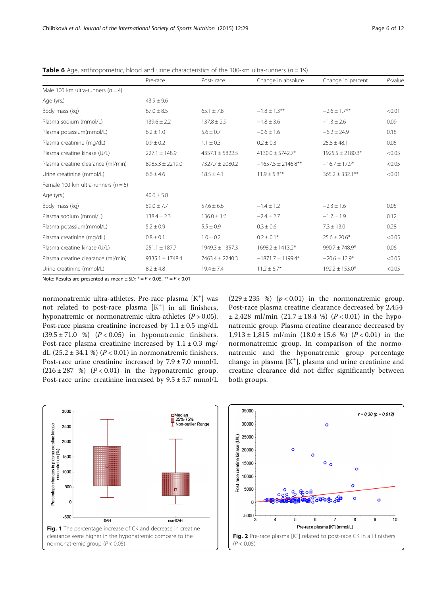|                                         | Pre-race            | Post-race           | Change in absolute      | Change in percent    | $P$ -value |
|-----------------------------------------|---------------------|---------------------|-------------------------|----------------------|------------|
| Male 100 km ultra-runners ( $n = 4$ )   |                     |                     |                         |                      |            |
| Age (yrs.)                              | $43.9 \pm 9.6$      |                     |                         |                      |            |
| Body mass (kg)                          | $67.0 \pm 8.5$      | $65.1 \pm 7.8$      | $-1.8 \pm 1.3$ **       | $-2.6 \pm 1.7$ **    | < 0.01     |
| Plasma sodium (mmol/L)                  | $139.6 \pm 2.2$     | $137.8 \pm 2.9$     | $-1.8 \pm 3.6$          | $-1.3 \pm 2.6$       | 0.09       |
| Plasma potassium(mmol/L)                | $6.2 \pm 1.0$       | $5.6 \pm 0.7$       | $-0.6 \pm 1.6$          | $-6.2 \pm 24.9$      | 0.18       |
| Plasma creatinine (mg/dL)               | $0.9 \pm 0.2$       | $1.1 \pm 0.3$       | $0.2 \pm 0.3$           | $25.8 \pm 48.1$      | 0.05       |
| Plasma creatine kinase (U/L)            | $227.1 \pm 148.9$   | $4357.1 + 5822.5$   | $4130.0 \pm 5742.7*$    | $1925.5 \pm 2180.3*$ | < 0.05     |
| Plasma creatine clearance (ml/min)      | $8985.3 \pm 2219.0$ | $7327.7 \pm 2080.2$ | $-1657.5 \pm 2146.8$ ** | $-16.7 \pm 17.9*$    | < 0.05     |
| Urine creatinine (mmol/L)               | $6.6 \pm 4.6$       | $18.5 \pm 4.1$      | $11.9 \pm 5.8***$       | $365.2 \pm 332.1***$ | < 0.01     |
| Female 100 km ultra-runners ( $n = 5$ ) |                     |                     |                         |                      |            |
| Age (yrs.)                              | $40.6 \pm 5.8$      |                     |                         |                      |            |
| Body mass (kg)                          | $59.0 \pm 7.7$      | $57.6 \pm 6.6$      | $-1.4 \pm 1.2$          | $-2.3 \pm 1.6$       | 0.05       |
| Plasma sodium (mmol/L)                  | $138.4 \pm 2.3$     | $136.0 \pm 1.6$     | $-2.4 \pm 2.7$          | $-1.7 \pm 1.9$       | 0.12       |
| Plasma potassium(mmol/L)                | $5.2 \pm 0.9$       | $5.5 \pm 0.9$       | $0.3 \pm 0.6$           | $7.3 \pm 13.0$       | 0.28       |
| Plasma creatinine (mg/dL)               | $0.8 \pm 0.1$       | $1.0 \pm 0.2$       | $0.2 \pm 0.1*$          | $25.6 \pm 20.6*$     | < 0.05     |
| Plasma creatine kinase (U/L)            | $251.1 \pm 187.7$   | $1949.3 \pm 1357.3$ | $1698.2 \pm 1413.2*$    | $990.7 \pm 748.9*$   | 0.06       |
| Plasma creatine clearance (ml/min)      | $9335.1 \pm 1748.4$ | $7463.4 \pm 2240.3$ | $-1871.7 \pm 1199.4*$   | $-20.6 \pm 12.9*$    | < 0.05     |
| Urine creatinine (mmol/L)               | $8.2 \pm 4.8$       | $19.4 \pm 7.4$      | $11.2 \pm 6.7^*$        | $192.2 \pm 153.0*$   | < 0.05     |

<span id="page-5-0"></span>**Table 6** Age, anthropometric, blood and urine characteristics of the 100-km ultra-runners ( $n = 19$ )

Note: Results are presented as mean  $\pm$  SD;  $* = P < 0.05$ ,  $** = P < 0.01$ 

normonatremic ultra-athletes. Pre-race plasma [K<sup>+</sup>] was not related to post-race plasma [K<sup>+</sup>] in all finishers, hyponatremic or normonatremic ultra-athletes  $(P > 0.05)$ . Post-race plasma creatinine increased by  $1.1 \pm 0.5$  mg/dL  $(39.5 \pm 71.0 \%)$   $(P < 0.05)$  in hyponatremic finishers. Post-race plasma creatinine increased by  $1.1 \pm 0.3$  mg/ dL  $(25.2 \pm 34.1 \%)$   $(P < 0.01)$  in normonatremic finishers. Post-race urine creatinine increased by 7.9 ± 7.0 mmol/L  $(216 \pm 287 \%)$   $(P < 0.01)$  in the hyponatremic group. Post-race urine creatinine increased by 9.5 ± 5.7 mmol/L

 $(229 \pm 235 \%)$   $(p < 0.01)$  in the normonatremic group. Post-race plasma creatine clearance decreased by 2,454  $\pm$  2,428 ml/min (21.7  $\pm$  18.4 %) (P < 0.01) in the hyponatremic group. Plasma creatine clearance decreased by  $1,913 \pm 1,815$  ml/min  $(18.0 \pm 15.6 %)$   $(P<0.01)$  in the normonatremic group. In comparison of the normonatremic and the hyponatremic group percentage change in plasma  $[K^+]$ , plasma and urine creatinine and creatine clearance did not differ significantly between both groups.



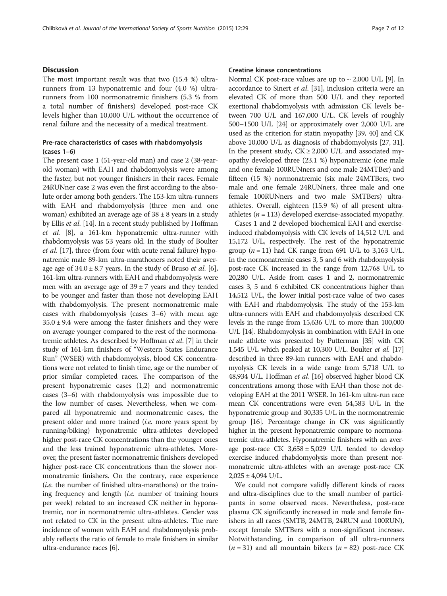# **Discussion**

The most important result was that two (15.4 %) ultrarunners from 13 hyponatremic and four (4.0 %) ultrarunners from 100 normonatremic finishers (5.3 % from a total number of finishers) developed post-race CK levels higher than 10,000 U/L without the occurrence of renal failure and the necessity of a medical treatment.

# Pre-race characteristics of cases with rhabdomyolysis (cases 1–6)

The present case 1 (51-year-old man) and case 2 (38-yearold woman) with EAH and rhabdomyolysis were among the faster, but not younger finishers in their races. Female 24RUNner case 2 was even the first according to the absolute order among both genders. The 153-km ultra-runners with EAH and rhabdomyolysis (three men and one woman) exhibited an average age of  $38 \pm 8$  years in a study by Ellis et al. [[14](#page-10-0)]. In a recent study published by Hoffman et al. [\[8\]](#page-10-0), a 161-km hyponatremic ultra-runner with rhabdomyolysis was 53 years old. In the study of Boulter et al. [[17](#page-10-0)], three (from four with acute renal failure) hyponatremic male 89-km ultra-marathoners noted their average age of  $34.0 \pm 8.7$  years. In the study of Bruso *et al.* [[6](#page-10-0)], 161-km ultra-runners with EAH and rhabdomyolysis were men with an average age of  $39 \pm 7$  years and they tended to be younger and faster than those not developing EAH with rhabdomyolysis. The present normonatremic male cases with rhabdomyolysis (cases 3–6) with mean age  $35.0 \pm 9.4$  were among the faster finishers and they were on average younger compared to the rest of the normonatremic athletes. As described by Hoffman et al. [[7](#page-10-0)] in their study of 161-km finishers of "Western States Endurance Run" (WSER) with rhabdomyolysis, blood CK concentrations were not related to finish time, age or the number of prior similar completed races. The comparison of the present hyponatremic cases (1,2) and normonatremic cases (3–6) with rhabdomyolysis was impossible due to the low number of cases. Nevertheless, when we compared all hyponatremic and normonatremic cases, the present older and more trained (i.e. more years spent by running/biking) hyponatremic ultra-athletes developed higher post-race CK concentrations than the younger ones and the less trained hyponatremic ultra-athletes. Moreover, the present faster normonatremic finishers developed higher post-race CK concentrations than the slower normonatremic finishers. On the contrary, race experience  $(i.e.$  the number of finished ultra-marathons) or the training frequency and length *(i.e.* number of training hours per week) related to an increased CK neither in hyponatremic, nor in normonatremic ultra-athletes. Gender was not related to CK in the present ultra-athletes. The rare incidence of women with EAH and rhabdomyolysis probably reflects the ratio of female to male finishers in similar ultra-endurance races [\[6\]](#page-10-0).

#### Creatine kinase concentrations

Normal CK post-race values are up to  $\sim$  2,000 U/L [[9\]](#page-10-0). In accordance to Sinert et al. [[31](#page-10-0)], inclusion criteria were an elevated CK of more than 500 U/L and they reported exertional rhabdomyolysis with admission CK levels between 700 U/L and 167,000 U/L. CK levels of roughly 500–1500 U/L [[24](#page-10-0)] or approximately over 2,000 U/L are used as the criterion for statin myopathy [[39](#page-11-0), [40](#page-11-0)] and CK above 10,000 U/L as diagnosis of rhabdomyolysis [\[27, 31](#page-10-0)]. In the present study,  $CK \ge 2,000$  U/L and associated myopathy developed three (23.1 %) hyponatremic (one male and one female 100RUNners and one male 24MTBer) and fifteen (15 %) normonatremic (six male 24MTBers, two male and one female 24RUNners, three male and one female 100RUNners and two male SMTBers) ultraathletes. Overall, eighteen (15.9 %) of all present ultraathletes ( $n = 113$ ) developed exercise-associated myopathy.

Cases 1 and 2 developed biochemical EAH and exerciseinduced rhabdomyolysis with CK levels of 14,512 U/L and 15,172 U/L, respectively. The rest of the hyponatremic group  $(n = 11)$  had CK range from 691 U/L to 3,163 U/L. In the normonatremic cases 3, 5 and 6 with rhabdomyolysis post-race CK increased in the range from 12,768 U/L to 20,280 U/L. Aside from cases 1 and 2, normonatremic cases 3, 5 and 6 exhibited CK concentrations higher than 14,512 U/L, the lower initial post-race value of two cases with EAH and rhabdomyolysis. The study of the 153-km ultra-runners with EAH and rhabdomyolysis described CK levels in the range from 15,636 U/L to more than 100,000 U/L [\[14\]](#page-10-0). Rhabdomyolysis in combination with EAH in one male athlete was presented by Putterman [\[35](#page-11-0)] with CK 1,545 U/L which peaked at 10,300 U/L. Boulter et al. [\[17](#page-10-0)] described in three 89-km runners with EAH and rhabdomyolysis CK levels in a wide range from 5,718 U/L to 48,934 U/L. Hoffman et al. [\[16\]](#page-10-0) observed higher blood CK concentrations among those with EAH than those not developing EAH at the 2011 WSER. In 161-km ultra-run race mean CK concentrations were even 54,583 U/L in the hyponatremic group and 30,335 U/L in the normonatremic group [[16](#page-10-0)]. Percentage change in CK was significantly higher in the present hyponatremic compare to normonatremic ultra-athletes. Hyponatremic finishers with an average post-race CK  $3,658 \pm 5,029$  U/L tended to develop exercise induced rhabdomyolysis more than present normonatremic ultra-athletes with an average post-race CK  $2,025 \pm 4,094$  U/L.

We could not compare validly different kinds of races and ultra-disciplines due to the small number of participants in some observed races. Nevertheless, post-race plasma CK significantly increased in male and female finishers in all races (SMTB, 24MTB, 24RUN and 100RUN), except female SMTBers with a non-significant increase. Notwithstanding, in comparison of all ultra-runners  $(n = 31)$  and all mountain bikers  $(n = 82)$  post-race CK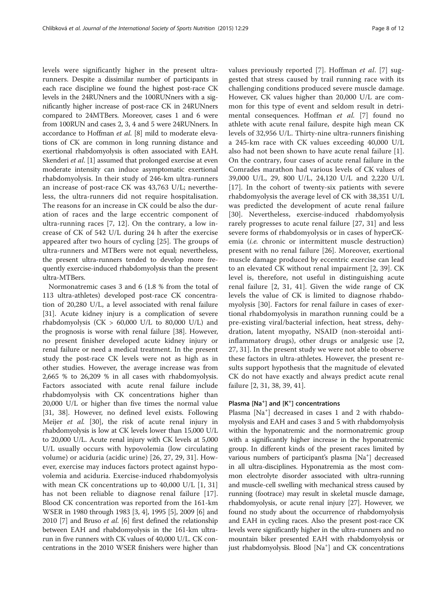levels were significantly higher in the present ultrarunners. Despite a dissimilar number of participants in each race discipline we found the highest post-race CK levels in the 24RUNners and the 100RUNners with a significantly higher increase of post-race CK in 24RUNners compared to 24MTBers. Moreover, cases 1 and 6 were from 100RUN and cases 2, 3, 4 and 5 were 24RUNners. In accordance to Hoffman et al. [\[8\]](#page-10-0) mild to moderate elevations of CK are common in long running distance and exertional rhabdomyolysis is often associated with EAH. Skenderi et al. [\[1\]](#page-10-0) assumed that prolonged exercise at even moderate intensity can induce asymptomatic exertional rhabdomyolysis. In their study of 246-km ultra-runners an increase of post-race CK was 43,763 U/L; nevertheless, the ultra-runners did not require hospitalisation. The reasons for an increase in CK could be also the duration of races and the large eccentric component of ultra-running races [\[7](#page-10-0), [12\]](#page-10-0). On the contrary, a low increase of CK of 542 U/L during 24 h after the exercise appeared after two hours of cycling [\[25](#page-10-0)]. The groups of ultra-runners and MTBers were not equal; nevertheless, the present ultra-runners tended to develop more frequently exercise-induced rhabdomyolysis than the present ultra-MTBers.

Normonatremic cases 3 and 6 (1.8 % from the total of 113 ultra-athletes) developed post-race CK concentration of 20,280 U/L, a level associated with renal failure [[31\]](#page-10-0). Acute kidney injury is a complication of severe rhabdomyolysis (CK  $> 60,000$  U/L to 80,000 U/L) and the prognosis is worse with renal failure [[38](#page-11-0)]. However, no present finisher developed acute kidney injury or renal failure or need a medical treatment. In the present study the post-race CK levels were not as high as in other studies. However, the average increase was from 2,665 % to 26,209 % in all cases with rhabdomyolysis. Factors associated with acute renal failure include rhabdomyolysis with CK concentrations higher than 20,000 U/L or higher than five times the normal value [[31,](#page-10-0) [38\]](#page-11-0). However, no defined level exists. Following Meijer et al. [\[30](#page-10-0)], the risk of acute renal injury in rhabdomyolysis is low at CK levels lower than 15,000 U/L to 20,000 U/L. Acute renal injury with CK levels at 5,000 U/L usually occurs with hypovolemia (low circulating volume) or aciduria (acidic urine) [\[26](#page-10-0), [27](#page-10-0), [29, 31\]](#page-10-0). However, exercise may induces factors protect against hypovolemia and aciduria. Exercise-induced rhabdomyolysis with mean CK concentrations up to 40,000 U/L [[1, 31](#page-10-0)] has not been reliable to diagnose renal failure [[17](#page-10-0)]. Blood CK concentration was reported from the 161-km WSER in 1980 through 1983 [\[3](#page-10-0), [4\]](#page-10-0), 1995 [\[5\]](#page-10-0), 2009 [\[6\]](#page-10-0) and 2010 [\[7](#page-10-0)] and Bruso *et al.* [[6\]](#page-10-0) first defined the relationship between EAH and rhabdomyolysis in the 161-km ultrarun in five runners with CK values of 40,000 U/L. CK concentrations in the 2010 WSER finishers were higher than values previously reported [[7\]](#page-10-0). Hoffman et al. [7] suggested that stress caused by trail running race with its challenging conditions produced severe muscle damage. However, CK values higher than 20,000 U/L are common for this type of event and seldom result in detri-mental consequences. Hoffman et al. [[7\]](#page-10-0) found no athlete with acute renal failure, despite high mean CK levels of 32,956 U/L. Thirty-nine ultra-runners finishing a 245-km race with CK values exceeding 40,000 U/L also had not been shown to have acute renal failure [\[1](#page-10-0)]. On the contrary, four cases of acute renal failure in the Comrades marathon had various levels of CK values of 39,000 U/L, 29, 800 U/L, 24,120 U/L and 2,220 U/L [[17](#page-10-0)]. In the cohort of twenty-six patients with severe rhabdomyolysis the average level of CK with 38,351 U/L was predicted the development of acute renal failure [[30\]](#page-10-0). Nevertheless, exercise-induced rhabdomyolysis rarely progresses to acute renal failure [[27, 31\]](#page-10-0) and less severe forms of rhabdomyolysis or in cases of hyperCKemia (i.e. chronic or intermittent muscle destruction) present with no renal failure [\[26](#page-10-0)]. Moreover, exertional muscle damage produced by eccentric exercise can lead to an elevated CK without renal impairment [[2,](#page-10-0) [39\]](#page-11-0). CK level is, therefore, not useful in distinguishing acute renal failure [[2, 31,](#page-10-0) [41](#page-11-0)]. Given the wide range of CK levels the value of CK is limited to diagnose rhabdomyolysis [[30](#page-10-0)]. Factors for renal failure in cases of exertional rhabdomyolysis in marathon running could be a pre-existing viral/bacterial infection, heat stress, dehydration, latent myopathy, NSAID (non-steroidal antiinflammatory drugs), other drugs or analgesic use [\[2](#page-10-0), [27, 31\]](#page-10-0). In the present study we were not able to observe these factors in ultra-athletes. However, the present results support hypothesis that the magnitude of elevated CK do not have exactly and always predict acute renal failure [\[2](#page-10-0), [31](#page-10-0), [38, 39, 41\]](#page-11-0).

# Plasma [Na<sup>+</sup>] and [K<sup>+</sup>] concentrations

Plasma [Na<sup>+</sup>] decreased in cases 1 and 2 with rhabdomyolysis and EAH and cases 3 and 5 with rhabdomyolysis within the hyponatremic and the normonatremic group with a significantly higher increase in the hyponatremic group. In different kinds of the present races limited by various numbers of participant's plasma [Na<sup>+</sup>] decreased in all ultra-disciplines. Hyponatremia as the most common electrolyte disorder associated with ultra-running and muscle-cell swelling with mechanical stress caused by running (footrace) may result in skeletal muscle damage, rhabdomyolysis, or acute renal injury [[27](#page-10-0)]. However, we found no study about the occurrence of rhabdomyolysis and EAH in cycling races. Also the present post-race CK levels were significantly higher in the ultra-runners and no mountain biker presented EAH with rhabdomyolysis or just rhabdomyolysis. Blood [Na<sup>+</sup>] and CK concentrations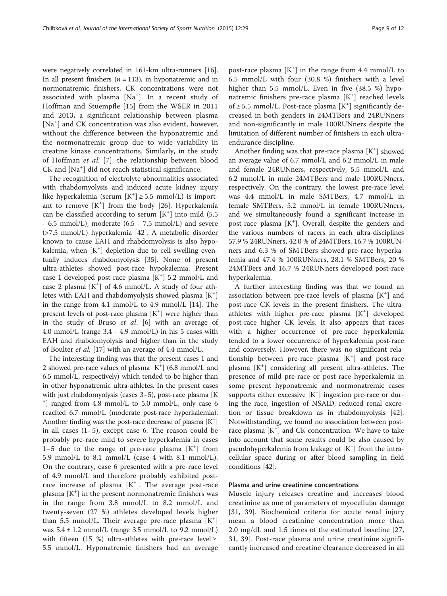were negatively correlated in 161-km ultra-runners [[16](#page-10-0)]. In all present finishers  $(n = 113)$ , in hyponatremic and in normonatremic finishers, CK concentrations were not associated with plasma [Na<sup>+</sup> ]. In a recent study of Hoffman and Stuempfle [[15\]](#page-10-0) from the WSER in 2011 and 2013, a significant relationship between plasma [Na<sup>+</sup>] and CK concentration was also evident, however, without the difference between the hyponatremic and the normonatremic group due to wide variability in creatine kinase concentrations. Similarly, in the study of Hoffman et al. [[7](#page-10-0)], the relationship between blood CK and [Na<sup>+</sup> ] did not reach statistical significance.

The recognition of electrolyte abnormalities associated with rhabdomyolysis and induced acute kidney injury like hyperkalemia (serum  $[K^+] \ge 5.5$  mmol/L) is important to remove  $[K^+]$  from the body [\[26\]](#page-10-0). Hyperkalemia can be classified according to serum  $[K^+]$  into mild (5.5) - 6.5 mmol/L), moderate (6.5 - 7.5 mmol/L) and severe (>7.5 mmol/L) hyperkalemia [[42\]](#page-11-0). A metabolic disorder known to cause EAH and rhabdomyolysis is also hypokalemia, when [K<sup>+</sup>] depletion due to cell swelling eventually induces rhabdomyolysis [[35\]](#page-11-0). None of present ultra-athletes showed post-race hypokalemia. Present case 1 developed post-race plasma [K<sup>+</sup>] 5.2 mmol/L and case 2 plasma [K<sup>+</sup>] of 4.6 mmol/L. A study of four athletes with EAH and rhabdomyolysis showed plasma [K<sup>+</sup>] in the range from 4.1 mmol/L to 4.9 mmol/L [\[14](#page-10-0)]. The present levels of post-race plasma [K<sup>+</sup>] were higher than in the study of Bruso et al. [[6\]](#page-10-0) with an average of 4.0 mmol/L (range 3.4 - 4.9 mmol/L) in his 5 cases with EAH and rhabdomyolysis and higher than in the study of Boulter et al. [\[17\]](#page-10-0) with an average of 4.4 mmol/L.

The interesting finding was that the present cases 1 and 2 showed pre-race values of plasma [K+ ] (6.8 mmol/L and 6.5 mmol/L, respectively) which tended to be higher than in other hyponatremic ultra-athletes. In the present cases with just rhabdomyolysis (cases 3–5), post-race plasma [K] ] ranged from 4.8 mmol/L to 5.0 mmol/L, only case 6 reached 6.7 mmol/L (moderate post-race hyperkalemia). Another finding was the post-race decrease of plasma [K<sup>+</sup>] in all cases (1–5), except case 6. The reason could be probably pre-race mild to severe hyperkalemia in cases  $1-5$  due to the range of pre-race plasma  $[K^+]$  from 5.9 mmol/L to 8.1 mmol/L (case 4 with 8.1 mmol/L). On the contrary, case 6 presented with a pre-race level of 4.9 mmol/L and therefore probably exhibited postrace increase of plasma  $[K^+]$ . The average post-race plasma [K<sup>+</sup> ] in the present normonatremic finishers was in the range from 3.8 mmol/L to 8.2 mmol/L and twenty-seven (27 %) athletes developed levels higher than 5.5 mmol/L. Their average pre-race plasma [K<sup>+</sup>] was  $5.4 \pm 1.2$  mmol/L (range 3.5 mmol/L to 9.2 mmol/L) with fifteen (15 %) ultra-athletes with pre-race level  $\ge$ 5.5 mmol/L. Hyponatremic finishers had an average

post-race plasma  $[K^+]$  in the range from 4.4 mmol/L to 6.5 mmol/L with four (30.8 %) finishers with a level higher than 5.5 mmol/L. Even in five (38.5 %) hyponatremic finishers pre-race plasma [K<sup>+</sup>] reached levels of ≥ 5.5 mmol/L. Post-race plasma  $[K^+]$  significantly decreased in both genders in 24MTBers and 24RUNners and non-significantly in male 100RUNners despite the limitation of different number of finishers in each ultraendurance discipline.

Another finding was that pre-race plasma [K<sup>+</sup>] showed an average value of 6.7 mmol/L and 6.2 mmol/L in male and female 24RUNners, respectively, 5.5 mmol/L and 6.2 mmol/L in male 24MTBers and male 100RUNners, respectively. On the contrary, the lowest pre-race level was 4.4 mmol/L in male SMTBers, 4.7 mmol/L in female SMTBers, 5.2 mmol/L in female 100RUNners, and we simultaneously found a significant increase in post-race plasma [K<sup>+</sup>]. Overall, despite the genders and the various numbers of racers in each ultra-disciplines 57.9 % 24RUNners, 42.0 % of 24MTBers, 16.7 % 100RUNners and 6.3 % of SMTBers showed pre-race hyperkalemia and 47.4 % 100RUNners, 28.1 % SMTBers, 20 % 24MTBers and 16.7 % 24RUNners developed post-race hyperkalemia.

A further interesting finding was that we found an association between pre-race levels of plasma [K<sup>+</sup>] and post-race CK levels in the present finishers. The ultraathletes with higher pre-race plasma [K<sup>+</sup>] developed post-race higher CK levels. It also appears that races with a higher occurrence of pre-race hyperkalemia tended to a lower occurrence of hyperkalemia post-race and conversely. However, there was no significant relationship between pre-race plasma [K<sup>+</sup>] and post-race plasma [K<sup>+</sup>] considering all present ultra-athletes. The presence of mild pre-race or post-race hyperkalemia in some present hyponatremic and normonatremic cases supports either excessive  $[K^+]$  ingestion pre-race or during the race, ingestion of NSAID, reduced renal excretion or tissue breakdown as in rhabdomyolysis [\[42](#page-11-0)]. Notwithstanding, we found no association between postrace plasma [K<sup>+</sup>] and CK concentration. We have to take into account that some results could be also caused by pseudohyperkalemia from leakage of  $[K^+]$  from the intracellular space during or after blood sampling in field conditions [[42](#page-11-0)].

# Plasma and urine creatinine concentrations

Muscle injury releases creatine and increases blood creatinine as one of parameters of myocellular damage [[31](#page-10-0), [39](#page-11-0)]. Biochemical criteria for acute renal injury mean a blood creatinine concentration more than 2.0 mg/dL and 1.5 times of the estimated baseline [\[27](#page-10-0), [31,](#page-10-0) [39](#page-11-0)]. Post-race plasma and urine creatinine significantly increased and creatine clearance decreased in all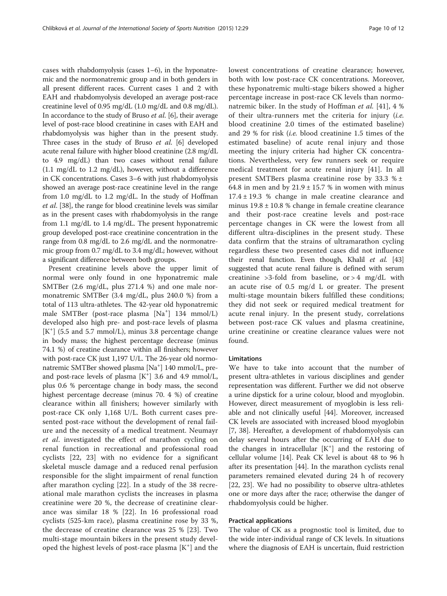cases with rhabdomyolysis (cases 1–6), in the hyponatremic and the normonatremic group and in both genders in all present different races. Current cases 1 and 2 with EAH and rhabdomyolysis developed an average post-race creatinine level of 0.95 mg/dL (1.0 mg/dL and 0.8 mg/dL). In accordance to the study of Bruso et al. [\[6\]](#page-10-0), their average level of post-race blood creatinine in cases with EAH and rhabdomyolysis was higher than in the present study. Three cases in the study of Bruso et al. [\[6](#page-10-0)] developed acute renal failure with higher blood creatinine (2.8 mg/dL to 4.9 mg/dL) than two cases without renal failure (1.1 mg/dL to 1.2 mg/dL), however, without a difference in CK concentrations. Cases 3–6 with just rhabdomyolysis showed an average post-race creatinine level in the range from 1.0 mg/dL to 1.2 mg/dL. In the study of Hoffman et al. [\[38\]](#page-11-0), the range for blood creatinine levels was similar as in the present cases with rhabdomyolysis in the range from 1.1 mg/dL to 1.4 mg/dL. The present hyponatremic group developed post-race creatinine concentration in the range from 0.8 mg/dL to 2.6 mg/dL and the normonatremic group from 0.7 mg/dL to 3.4 mg/dL; however, without a significant difference between both groups.

Present creatinine levels above the upper limit of normal were only found in one hyponatremic male SMTBer (2.6 mg/dL, plus 271.4 %) and one male normonatremic SMTBer (3.4 mg/dL, plus 240.0 %) from a total of 113 ultra-athletes. The 42-year old hyponatremic male SMTBer (post-race plasma [Na<sup>+</sup> ] 134 mmol/L) developed also high pre- and post-race levels of plasma [K<sup>+</sup>] (5.5 and 5.7 mmol/L), minus 3.8 percentage change in body mass; the highest percentage decrease (minus 74.1 %) of creatine clearance within all finishers; however with post-race CK just 1,197 U/L. The 26-year old normonatremic SMTBer showed plasma [Na<sup>+</sup>] 140 mmol/L, preand post-race levels of plasma  $[K^+]$  3.6 and 4.9 mmol/L, plus 0.6 % percentage change in body mass, the second highest percentage decrease (minus 70. 4 %) of creatine clearance within all finishers; however similarly with post-race CK only 1,168 U/L. Both current cases presented post-race without the development of renal failure and the necessity of a medical treatment. Neumayr et al. investigated the effect of marathon cycling on renal function in recreational and professional road cyclists [\[22](#page-10-0), [23\]](#page-10-0) with no evidence for a significant skeletal muscle damage and a reduced renal perfusion responsible for the slight impairment of renal function after marathon cycling [[22\]](#page-10-0). In a study of the 38 recreational male marathon cyclists the increases in plasma creatinine were 20 %, the decrease of creatinine clearance was similar 18 % [\[22](#page-10-0)]. In 16 professional road cyclists (525-km race), plasma creatinine rose by 33 %, the decrease of creatine clearance was 25 % [\[23](#page-10-0)]. Two multi-stage mountain bikers in the present study developed the highest levels of post-race plasma [K<sup>+</sup>] and the

lowest concentrations of creatine clearance; however, both with low post-race CK concentrations. Moreover, these hyponatremic multi-stage bikers showed a higher percentage increase in post-race CK levels than normo-natremic biker. In the study of Hoffman et al. [[41\]](#page-11-0), 4 % of their ultra-runners met the criteria for injury (i.e. blood creatinine 2.0 times of the estimated baseline) and 29 % for risk (i.e. blood creatinine 1.5 times of the estimated baseline) of acute renal injury and those meeting the injury criteria had higher CK concentrations. Nevertheless, very few runners seek or require medical treatment for acute renal injury [[41\]](#page-11-0). In all present SMTBers plasma creatinine rose by 33.3  $% \pm$ 64.8 in men and by  $21.9 \pm 15.7$  % in women with minus  $17.4 \pm 19.3$  % change in male creatine clearance and minus  $19.8 \pm 10.8$  % change in female creatine clearance and their post-race creatine levels and post-race percentage changes in CK were the lowest from all different ultra-disciplines in the present study. These data confirm that the strains of ultramarathon cycling regardless these two presented cases did not influence their renal function. Even though, Khalil *et al.* [[43](#page-11-0)] suggested that acute renal failure is defined with serum creatinine  $>3$ -fold from baseline, or  $>4$  mg/dL with an acute rise of 0.5 mg/d L or greater. The present multi-stage mountain bikers fulfilled these conditions; they did not seek or required medical treatment for acute renal injury. In the present study, correlations between post-race CK values and plasma creatinine, urine creatinine or creatine clearance values were not found.

# Limitations

We have to take into account that the number of present ultra-athletes in various disciplines and gender representation was different. Further we did not observe a urine dipstick for a urine colour, blood and myoglobin. However, direct measurement of myoglobin is less reliable and not clinically useful [[44\]](#page-11-0). Moreover, increased CK levels are associated with increased blood myoglobin [[7,](#page-10-0) [38](#page-11-0)]. Hereafter, a development of rhabdomyolysis can delay several hours after the occurring of EAH due to the changes in intracellular  $[K^+]$  and the restoring of cellular volume [[14\]](#page-10-0). Peak CK level is about 48 to 96 h after its presentation [\[44](#page-11-0)]. In the marathon cyclists renal parameters remained elevated during 24 h of recovery [[22, 23](#page-10-0)]. We had no possibility to observe ultra-athletes one or more days after the race; otherwise the danger of rhabdomyolysis could be higher.

## Practical applications

The value of CK as a prognostic tool is limited, due to the wide inter-individual range of CK levels. In situations where the diagnosis of EAH is uncertain, fluid restriction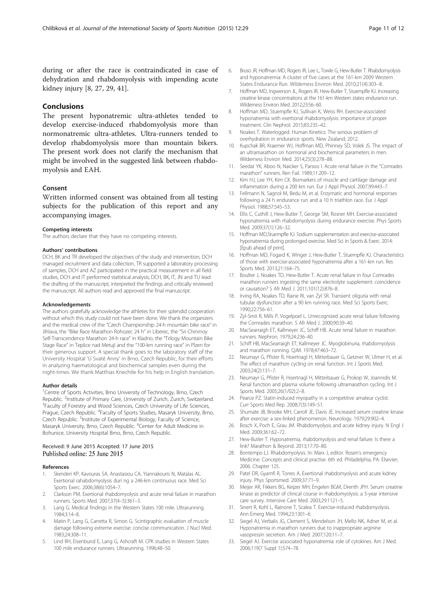<span id="page-10-0"></span>during or after the race is contraindicated in case of dehydration and rhabdomyolysis with impending acute kidney injury [8, 27, 29, [41](#page-11-0)].

# Conclusions

The present hyponatremic ultra-athletes tended to develop exercise-induced rhabdomyolysis more than normonatremic ultra-athletes. Ultra-runners tended to develop rhabdomyolysis more than mountain bikers. The present work does not clarify the mechanism that might be involved in the suggested link between rhabdomyolysis and EAH.

#### Consent

Written informed consent was obtained from all testing subjects for the publication of this report and any accompanying images.

#### Competing interests

The authors declare that they have no competing interests.

#### Authors' contributions

DCH, BK and TR developed the objectives of the study and intervention, DCH managed recruitment and data collection, TR supported a laboratory processing of samples, DCH and AZ participated in the practical measurement in all field studies, DCH and IT performed statistical analysis; DCH, BK, IT, JN and TU lead the drafting of the manuscript, interpreted the findings and critically reviewed the manuscript. All authors read and approved the final manuscript.

#### Acknowledgements

The authors gratefully acknowledge the athletes for their splendid cooperation without which this study could not have been done. We thank the organizers and the medical crew of the "Czech Championship 24-h mountain bike race" in Jihlava, the "Bike Race Marathon Rohozec 24 h" in Liberec, the "Sri Chinmoy Self-Transcendence Marathon 24-h race" in Kladno, the "Trilogy Mountain Bike Stage Race" in Teplice nad Metují and the "100-km running race" in Plzen for their generous support. A special thank goes to the laboratory staff of the University Hospital 'U Svaté Anny' in Brno, Czech Republic, for their efforts in analyzing haematological and biochemical samples even during the night-times. We thank Matthias Knechtle for his help in English translation.

#### Author details

<sup>1</sup>Centre of Sports Activities, Brno University of Technology, Brno, Czech Republic. <sup>2</sup> Institute of Primary Care, University of Zurich, Zurich, Switzerland.<br><sup>3</sup> Faculty of Forestry and Wood Sciences, Czech University of Life Sciences. <sup>3</sup>Faculty of Forestry and Wood Sciences, Czech University of Life Sciences, Prague, Czech Republic. <sup>4</sup>Faculty of Sports Studies, Masaryk University, Brno, Czech Republic. <sup>5</sup>Institute of Experimental Biology, Faculty of Science, Masaryk University, Brno, Czech Republic. <sup>6</sup>Center for Adult Medicine in Bohunice, University Hospital Brno, Brno, Czech Republic.

#### Received: 9 June 2015 Accepted: 17 June 2015 Published online: 25 June 2015

#### References

- Skenderi KP, Kavouras SA, Anastasiou CA, Yiannakouris N, Matalas AL. Exertional rahabdomyolysis duri ng a 246-km continuous race. Med Sci Sports Exerc. 2006;38(6):1054–7.
- 2. Clarkson PM. Exertional rhabdomyolysis and acute renal failure in marathon runners. Sports Med. 2007;37(4–5):361–3.
- 3. Lang G. Medical findings in the Western States 100 mile. Ultrarunning. 1984;3:14–8.
- 4. Matin P, Lang G, Carretta R, Simon G. Scintigraphic evaluation of muscle damage following extreme exercise: concise communication. J Nucl Med. 1983;24:308–11.
- 5. Lind RH, Eisenbund E, Lang G, Ashcraft M. CPK studies in Western States 100 mile endurance runners. Ultrarunning. 1996;48–50.
- 6. Bruso JR, Hoffman MD, Rogers IR, Lee L, Towle G, Hew-Butler T. Rhabdomyolysis and hyponatremia: A cluster of five cases at the 161-km 2009 Western States Endurance Run. Wilderness Environ Med. 2010;21(4):303–8.
- 7. Hoffman MD, Ingwerson JL, Rogers IR, Hew-Butler T, Stuempfle KJ. Increasing creatine kinase concentrations at the 161-km Western states endurance run. Wilderness Environ Med. 2012;23:56–60.
- 8. Hoffman MD, Stuempfle KJ, Sullivan K, Weiss RH. Exercise-associated hyponatremia with exertional rhabdomyolysis: importance of proper treatment. Clin Nephrol. 2015;83:235–42.
- 9. Noakes T. Waterlogged. Human Kinetics: The serious problem of overhydration in endurance sports. New Zealand; 2012.
- 10. Kupchak BR, Kraemer WJ, Hoffman MD, Phinney SD, Volek JS. The impact of an ultramarathon on hormonal and biochemical parameters in men. Wilderness Environ Med. 2014;25(3):278–88.
- 11. Seedat YK, Aboo N, Naicker S, Parsoo I. Acute renal failure in the "Comrades marathon" runners. Ren Fail. 1989;11:209–12.
- 12. Kim HJ, Lee YH, Kim CK. Biomarkers of muscle and cartilage damage and inflammation during a 200 km run. Eur J Appl Physiol. 2007;99:443–7.
- 13. Fellmann N, Sagnol M, Bedu M, et al. Enzymatic and hormonal responses following a 24 h endurance run and a 10 h triathlon race. Eur J Appl Physiol. 1988;57:545–53.
- 14. Ellis C, Cuthill J, Hew-Butler T, George SM, Rosner MH. Exercise-associated hyponatremia with rhabdomyolysis during endurance exercise. Phys Sports Med. 2009;37(1):126–32.
- 15. Hoffman MD,Stuempfle KJ. Sodium supplementation and exercise-associated hyponatremia during prolonged exercise. Med Sci in Sports & Exerc. 2014: [Epub ahead of print].
- 16. Hoffman MD, Fogard K, Winger J, Hew-Butler T, Stuempfle KJ. Characteristics of those with exercise-associated hyponatremia after a 161-km run. Res Sports Med. 2013;21:164–75.
- 17. Boulter J, Noakes TD, Hew-Butler T. Acute renal failure in four Comrades marathon runners ingesting the same electrolyte supplement: coincidence or causation? S Afr Med J. 2011;101(12):876–8.
- 18. Irving RA, Noakes TD, Raine RI, van Zyl SR. Transient oliguria with renal tubular dysfunction after a 90 km running race. Med Sci Sports Exerc. 1990;22:756–61.
- 19. Zyl-Smit R, Mills P, Vogelpoel L. Unrecognized acute renal failure following the Comrades marathon. S Afr Med J. 2000;90:39–40.
- 20. MacSearraigh ET, Kallmeyer JC, Schiff HB. Acute renal failure in marathon runners. Nephron. 1979;24:236–40.
- 21. Schiff HB, MacSearraigh ET, Kallmeyer JC. Myoglobinuria, rhabdomyolysis and marathon running. QJM. 1978;47:463–72.
- 22. Neumayr G, Pfister R, Hoertnagl H, Mitterbauer G, Getzner W, Ulmer H, et al. The effect of marathon cycling on renal function. Int J Sports Med. 2003;24(2):131–7.
- 23. Neumayr G, Pfister R, Hoertnagl H, Mitterbauer G, Prokop W, Joannidis M. Renal function and plasma volume following ultramarathon cycling. Int J Sports Med. 2005;26(1/02):2–8.
- 24. Pearce PZ. Statin-induced myopathy in a competitive amateur cyclist. Curr Sports Med Rep. 2008;7(3):149–51.
- 25. Shumate JB, Brooke MH, Carroll JE, Davis JE. Increased serum creatine kinase after exercise: a sex-linked phenomenon. Neurology. 1979;29:902–4.
- 26. Bosch X, Poch E, Grau JM. Rhabdomyolysis and acute kidney injury. N Engl J Med. 2009;361:62–72.
- 27. Hew-Butler T. Hyponatremia, rhabdomyolysis and renal failure. Is there a link? Marathon & Beyond. 2013;17:70–80.
- 28. Bontempo LJ. Rhabdomyolysis. In: Marx J, editor. Rosen's emergency Medicine: Concepts and clinical practise. 6th ed. Philadelphia, PA: Elsevier; 2006. Chapter 125.
- 29. Patel DR, Gyamfi R, Torres A. Exertional rhabdomyolysis and acute kidney injury. Phys Sportsmed. 2009;37:71–9.
- 30. Meijer AR, Fikkers BG, Keijzer MH, Engelen BGM, Drenth JPH. Serum creatine kinase as predictor of clinical course in rhabdomyolysis: a 5-year intensive care survey. Intensive Care Med. 2003;29:1121–5.
- 31. Sinert R, Kohl L, Rainone T, Scalea T. Exercise-induced rhabdomyolysis. Ann Emerg Med. 1994;23:1301–6.
- 32. Siegel AJ, Verbalis JG, Clement S, Mendelson JH, Mello NK, Adner M, et al. Hyponatremia in marathon runners due to inappropriate arginine vasopressin secretion. Am J Med. 2007;120:11–7.
- 33. Siegel AJ. Exercise associated hyponatremia: role of cytokines. Am J Med. 2006;119(7 Suppl 1):S74–78.